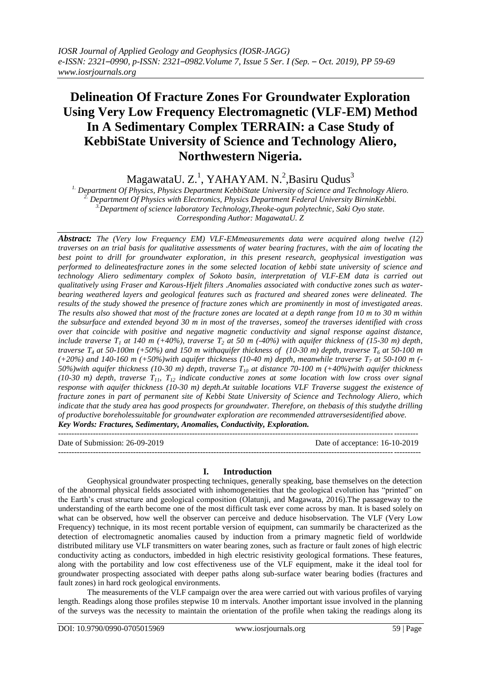# **Delineation Of Fracture Zones For Groundwater Exploration Using Very Low Frequency Electromagnetic (VLF-EM) Method In A Sedimentary Complex TERRAIN: a Case Study of KebbiState University of Science and Technology Aliero, Northwestern Nigeria.**

MagawataU. Z.<sup>1</sup>, YAHAYAM. N.<sup>2</sup>, Basiru Qudus<sup>3</sup>

*1. Department Of Physics, Physics Department KebbiState University of Science and Technology Aliero. 2. Department Of Physics with Electronics, Physics Department Federal University BirninKebbi. 3.Department of science laboratory Technology,Theoke-ogun polytechnic, Saki Oyo state. Corresponding Author: MagawataU. Z*

*Abstract: The (Very low Frequency EM) VLF-EMmeasurements data were acquired along twelve (12) traverses on an trial basis for qualitative assessments of water bearing fractures, with the aim of locating the best point to drill for groundwater exploration, in this present research, geophysical investigation was performed to delineatesfracture zones in the some selected location of kebbi state university of science and technology Aliero sedimentary complex of Sokoto basin, interpretation of VLF-EM data is carried out qualitatively using Fraser and Karous-Hjelt filters .Anomalies associated with conductive zones such as waterbearing weathered layers and geological features such as fractured and sheared zones were delineated. The results of the study showed the presence of fracture zones which are prominently in most of investigated areas. The results also showed that most of the fracture zones are located at a depth range from 10 m to 30 m within the subsurface and extended beyond 30 m in most of the traverses, someof the traverses identified with cross over that coincide with positive and negative magnetic conductivity and signal response against distance, include traverse*  $T_1$  *at 140 m (+40%), traverse*  $T_2$  *at 50 m (-40%) with aquifer thickness of (15-30 m) depth, traverse T<sub>4</sub> at 50-100m (+50%) and 150 m withaquifer thickness of (10-30 m) depth, traverse*  $T_6$  *at 50-100 m (+20%) and 140-160 m (+50%)with aquifer thickness (10-40 m) depth, meanwhile traverse T<sup>7</sup> at 50-100 m (- 50%)with aquifer thickness (10-30 m) depth, traverse T<sup>10</sup> at distance 70-100 m (+40%)with aquifer thickness*  (10-30 m) depth, traverse  $T_{11}$ ,  $T_{12}$  indicate conductive zones at some location with low cross over signal *response with aquifer thickness (10-30 m) depth.At suitable locations VLF Traverse suggest the existence of fracture zones in part of permanent site of Kebbi State University of Science and Technology Aliero, which indicate that the study area has good prospects for groundwater. Therefore, on thebasis of this studythe drilling of productive boreholessuitable for groundwater exploration are recommended attraversesidentified above. Key Words: Fractures, Sedimentary, Anomalies, Conductivity, Exploration.*

Date of Submission: 26-09-2019 Date of acceptance: 16-10-2019

## **I. Introduction**

---------------------------------------------------------------------------------------------------------------------------------------

--------------------------------------------------------------------------------------------------------------------------------------

Geophysical groundwater prospecting techniques, generally speaking, base themselves on the detection of the abnormal physical fields associated with inhomogeneities that the geological evolution has "printed" on the Earth's crust structure and geological composition (Olatunji, and Magawata, 2016).The passageway to the understanding of the earth become one of the most difficult task ever come across by man. It is based solely on what can be observed, how well the observer can perceive and deduce hisobservation. The VLF (Very Low Frequency) technique, in its most recent portable version of equipment, can summarily be characterized as the detection of electromagnetic anomalies caused by induction from a primary magnetic field of worldwide distributed military use VLF transmitters on water bearing zones, such as fracture or fault zones of high electric conductivity acting as conductors, imbedded in high electric resistivity geological formations. These features, along with the portability and low cost effectiveness use of the VLF equipment, make it the ideal tool for groundwater prospecting associated with deeper paths along sub-surface water bearing bodies (fractures and fault zones) in hard rock geological environments.

The measurements of the VLF campaign over the area were carried out with various profiles of varying length. Readings along those profiles stepwise 10 m intervals. Another important issue involved in the planning of the surveys was the necessity to maintain the orientation of the profile when taking the readings along its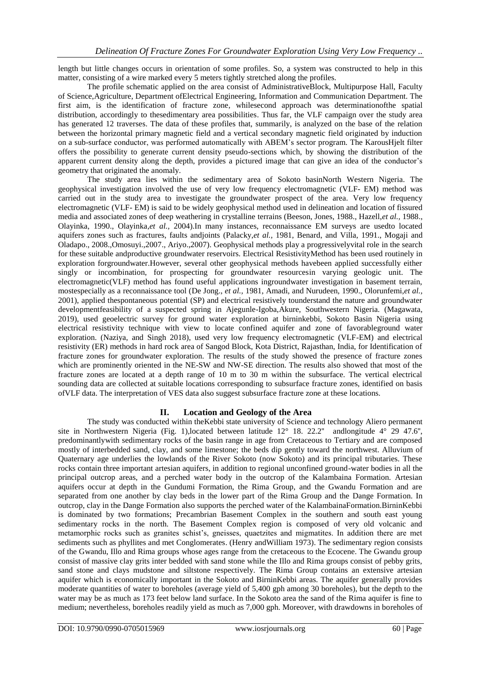length but little changes occurs in orientation of some profiles. So, a system was constructed to help in this matter, consisting of a wire marked every 5 meters tightly stretched along the profiles.

The profile schematic applied on the area consist of AdministrativeBlock, Multipurpose Hall, Faculty of Science,Agriculture, Department ofElectrical Engineering, Information and Communication Department. The first aim, is the identification of fracture zone, whilesecond approach was determinationofthe spatial distribution, accordingly to thesedimentary area possibilities. Thus far, the VLF campaign over the study area has generated 12 traverses. The data of these profiles that, summarily, is analyzed on the base of the relation between the horizontal primary magnetic field and a vertical secondary magnetic field originated by induction on a sub-surface conductor, was performed automatically with ABEM's sector program. The KarousHjelt filter offers the possibility to generate current density pseudo-sections which, by showing the distribution of the apparent current density along the depth, provides a pictured image that can give an idea of the conductor's geometry that originated the anomaly.

The study area lies within the sedimentary area of Sokoto basinNorth Western Nigeria. The geophysical investigation involved the use of very low frequency electromagnetic (VLF- EM) method was carried out in the study area to investigate the groundwater prospect of the area. Very low frequency electromagnetic (VLF- EM) is said to be widely geophysical method used in delineation and location of fissured media and associated zones of deep weathering in crystalline terrains (Beeson, Jones, 1988., Hazell,*et al.,* 1988., Olayinka, 1990., Olayinka,*et al.,* 2004).In many instances, reconnaissance EM surveys are usedto located aquifers zones such as fractures, faults andjoints (Palacky,*et al.,* 1981, Benard, and Villa, 1991., Mogaji and Oladapo., 2008.,Omosuyi.,2007., Ariyo.,2007). Geophysical methods play a progressivelyvital role in the search for these suitable andproductive groundwater reservoirs. Electrical ResistivityMethod has been used routinely in exploration forgroundwater.However, several other geophysical methods havebeen applied successfully either singly or incombination, for prospecting for groundwater resourcesin varying geologic unit. The electromagnetic(VLF) method has found useful applications ingroundwater investigation in basement terrain, mostespecially as a reconnaissance tool (De Jong., *et al.,* 1981, Amadi, and Nurudeen, 1990., Olorunfemi,*et al.,* 2001), applied thespontaneous potential (SP) and electrical resistively tounderstand the nature and groundwater developmentfeasibility of a suspected spring in Ajegunle-Igoba,Akure, Southwestern Nigeria. (Magawata, 2019), used geoelectric survey for ground water exploration at birninkebbi, Sokoto Basin Nigeria using electrical resistivity technique with view to locate confined aquifer and zone of favorableground water exploration. (Naziya, and Singh 2018), used very low frequency electromagnetic (VLF-EM) and electrical resistivity (ER) methods in hard rock area of Sangod Block, Kota District, Rajasthan, India, for Identification of fracture zones for groundwater exploration. The results of the study showed the presence of fracture zones which are prominently oriented in the NE-SW and NW-SE direction. The results also showed that most of the fracture zones are located at a depth range of 10 m to 30 m within the subsurface. The vertical electrical sounding data are collected at suitable locations corresponding to subsurface fracture zones, identified on basis ofVLF data. The interpretation of VES data also suggest subsurface fracture zone at these locations.

# **II. Location and Geology of the Area**

The study was conducted within theKebbi state university of Science and technology Aliero permanent site in Northwestern Nigeria (Fig. 1),located between latitude 12° 18. 22.2'' andlongitude 4° 29 47.6'', predominantlywith sedimentary rocks of the basin range in age from Cretaceous to Tertiary and are composed mostly of interbedded sand, clay, and some limestone; the beds dip gently toward the northwest. Alluvium of Quaternary age underlies the lowlands of the River Sokoto (now Sokoto) and its principal tributaries. These rocks contain three important artesian aquifers, in addition to regional unconfined ground-water bodies in all the principal outcrop areas, and a perched water body in the outcrop of the Kalambaina Formation. Artesian aquifers occur at depth in the Gundumi Formation, the Rima Group, and the Gwandu Formation and are separated from one another by clay beds in the lower part of the Rima Group and the Dange Formation. In outcrop, clay in the Dange Formation also supports the perched water of the KalambainaFormation.BirninKebbi is dominated by two formations; Precambrian Basement Complex in the southern and south east young sedimentary rocks in the north. The Basement Complex region is composed of very old volcanic and metamorphic rocks such as granites schist's, gneisses, quaetzites and migmatites. In addition there are met sediments such as phyllites and met Conglomerates. (Henry andWilliam 1973). The sedimentary region consists of the Gwandu, Illo and Rima groups whose ages range from the cretaceous to the Ecocene. The Gwandu group consist of massive clay grits inter bedded with sand stone while the Illo and Rima groups consist of pebby grits, sand stone and clays mudstone and siltstone respectively. The Rima Group contains an extensive artesian aquifer which is economically important in the Sokoto and BirninKebbi areas. The aquifer generally provides moderate quantities of water to boreholes (average yield of 5,400 gph among 30 boreholes), but the depth to the water may be as much as 173 feet below land surface. In the Sokoto area the sand of the Rima aquifer is fine to medium; nevertheless, boreholes readily yield as much as 7,000 gph. Moreover, with drawdowns in boreholes of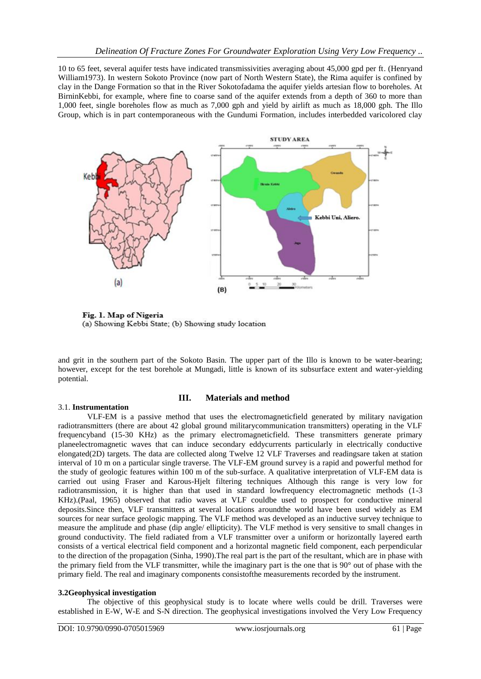10 to 65 feet, several aquifer tests have indicated transmissivities averaging about 45,000 gpd per ft. (Henryand William1973). In western Sokoto Province (now part of North Western State), the Rima aquifer is confined by clay in the Dange Formation so that in the River Sokotofadama the aquifer yields artesian flow to boreholes. At BirninKebbi, for example, where fine to coarse sand of the aquifer extends from a depth of 360 to more than 1,000 feet, single boreholes flow as much as 7,000 gph and yield by airlift as much as 18,000 gph. The Illo Group, which is in part contemporaneous with the Gundumi Formation, includes interbedded varicolored clay



Fig. 1. Map of Nigeria (a) Showing Kebbi State; (b) Showing study location

and grit in the southern part of the Sokoto Basin. The upper part of the Illo is known to be water-bearing; however, except for the test borehole at Mungadi, little is known of its subsurface extent and water-yielding potential.

## 3.1. **Instrumentation**

## **III. Materials and method**

VLF-EM is a passive method that uses the electromagneticfield generated by military navigation radiotransmitters (there are about 42 global ground militarycommunication transmitters) operating in the VLF frequencyband (15-30 KHz) as the primary electromagneticfield. These transmitters generate primary planeelectromagnetic waves that can induce secondary eddycurrents particularly in electrically conductive elongated(2D) targets. The data are collected along Twelve 12 VLF Traverses and readingsare taken at station interval of 10 m on a particular single traverse. The VLF-EM ground survey is a rapid and powerful method for the study of geologic features within 100 m of the sub-surface. A qualitative interpretation of VLF-EM data is carried out using Fraser and Karous-Hjelt filtering techniques Although this range is very low for radiotransmission, it is higher than that used in standard lowfrequency electromagnetic methods (1-3 KHz).(Paal, 1965) observed that radio waves at VLF couldbe used to prospect for conductive mineral deposits.Since then, VLF transmitters at several locations aroundthe world have been used widely as EM sources for near surface geologic mapping. The VLF method was developed as an inductive survey technique to measure the amplitude and phase (dip angle/ ellipticity). The VLF method is very sensitive to small changes in ground conductivity. The field radiated from a VLF transmitter over a uniform or horizontally layered earth consists of a vertical electrical field component and a horizontal magnetic field component, each perpendicular to the direction of the propagation (Sinha, 1990).The real part is the part of the resultant, which are in phase with the primary field from the VLF transmitter, while the imaginary part is the one that is 90° out of phase with the primary field. The real and imaginary components consistofthe measurements recorded by the instrument.

## **3.2Geophysical investigation**

The objective of this geophysical study is to locate where wells could be drill. Traverses were established in E-W, W-E and S-N direction. The geophysical investigations involved the Very Low Frequency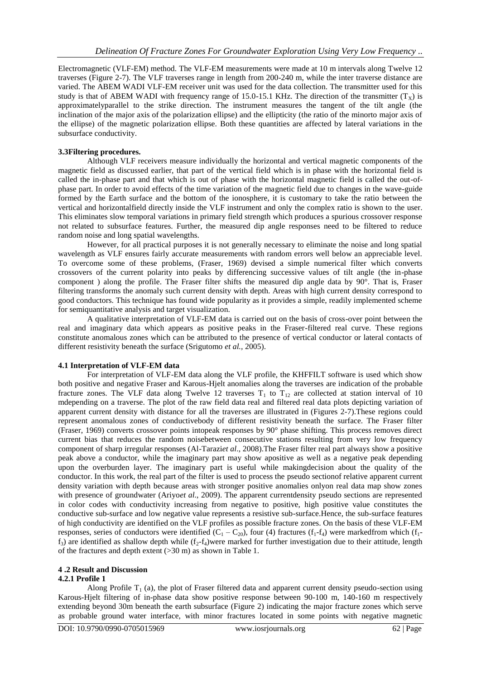Electromagnetic (VLF-EM) method. The VLF-EM measurements were made at 10 m intervals along Twelve 12 traverses (Figure 2-7). The VLF traverses range in length from 200-240 m, while the inter traverse distance are varied. The ABEM WADI VLF-EM receiver unit was used for the data collection. The transmitter used for this study is that of ABEM WADI with frequency range of 15.0-15.1 KHz. The direction of the transmitter  $(T_x)$  is approximatelyparallel to the strike direction. The instrument measures the tangent of the tilt angle (the inclination of the major axis of the polarization ellipse) and the ellipticity (the ratio of the minorto major axis of the ellipse) of the magnetic polarization ellipse. Both these quantities are affected by lateral variations in the subsurface conductivity.

#### **3.3Filtering procedures.**

Although VLF receivers measure individually the horizontal and vertical magnetic components of the magnetic field as discussed earlier, that part of the vertical field which is in phase with the horizontal field is called the in-phase part and that which is out of phase with the horizontal magnetic field is called the out-ofphase part. In order to avoid effects of the time variation of the magnetic field due to changes in the wave-guide formed by the Earth surface and the bottom of the ionosphere, it is customary to take the ratio between the vertical and horizontalfield directly inside the VLF instrument and only the complex ratio is shown to the user. This eliminates slow temporal variations in primary field strength which produces a spurious crossover response not related to subsurface features. Further, the measured dip angle responses need to be filtered to reduce random noise and long spatial wavelengths.

However, for all practical purposes it is not generally necessary to eliminate the noise and long spatial wavelength as VLF ensures fairly accurate measurements with random errors well below an appreciable level. To overcome some of these problems, (Fraser, 1969) devised a simple numerical filter which converts crossovers of the current polarity into peaks by differencing successive values of tilt angle (the in-phase component ) along the profile. The Fraser filter shifts the measured dip angle data by  $90^\circ$ . That is, Fraser filtering transforms the anomaly such current density with depth. Areas with high current density correspond to good conductors. This technique has found wide popularity as it provides a simple, readily implemented scheme for semiquantitative analysis and target visualization.

A qualitative interpretation of VLF-EM data is carried out on the basis of cross-over point between the real and imaginary data which appears as positive peaks in the Fraser-filtered real curve. These regions constitute anomalous zones which can be attributed to the presence of vertical conductor or lateral contacts of different resistivity beneath the surface (Srigutomo *et al.,* 2005).

#### **4.1 Interpretation of VLF-EM data**

For interpretation of VLF-EM data along the VLF profile, the KHFFILT software is used which show both positive and negative Fraser and Karous-Hjelt anomalies along the traverses are indication of the probable fracture zones. The VLF data along Twelve 12 traverses  $T_1$  to  $T_{12}$  are collected at station interval of 10 mdepending on a traverse. The plot of the raw field data real and filtered real data plots depicting variation of apparent current density with distance for all the traverses are illustrated in (Figures 2-7).These regions could represent anomalous zones of conductivebody of different resistivity beneath the surface. The Fraser filter (Fraser, 1969) converts crossover points intopeak responses by 90° phase shifting. This process removes direct current bias that reduces the random noisebetween consecutive stations resulting from very low frequency component of sharp irregular responses (Al-Tarazi*et al*., 2008).The Fraser filter real part always show a positive peak above a conductor, while the imaginary part may show apositive as well as a negative peak depending upon the overburden layer. The imaginary part is useful while makingdecision about the quality of the conductor. In this work, the real part of the filter is used to process the pseudo sectionof relative apparent current density variation with depth because areas with stronger positive anomalies onlyon real data map show zones with presence of groundwater (Ariyo*et al*., 2009). The apparent currentdensity pseudo sections are represented in color codes with conductivity increasing from negative to positive, high positive value constitutes the conductive sub-surface and low negative value represents a resistive sub-surface.Hence, the sub-surface features of high conductivity are identified on the VLF profiles as possible fracture zones. On the basis of these VLF-EM responses, series of conductors were identified  $(C_1 - C_{20})$ , four (4) fractures  $(f_1 - f_4)$  were markedfrom which  $(f_1 - f_2)$  $f_3$ ) are identified as shallow depth while  $(f_2-f_4)$ were marked for further investigation due to their attitude, length of the fractures and depth extent (>30 m) as shown in Table 1.

#### **4 .2 Result and Discussion**

#### **4.2.1 Profile 1**

Along Profile  $T_1$  (a), the plot of Fraser filtered data and apparent current density pseudo-section using Karous-Hjelt filtering of in-phase data show positive response between 90-100 m, 140-160 m respectively extending beyond 30m beneath the earth subsurface (Figure 2) indicating the major fracture zones which serve as probable ground water interface, with minor fractures located in some points with negative magnetic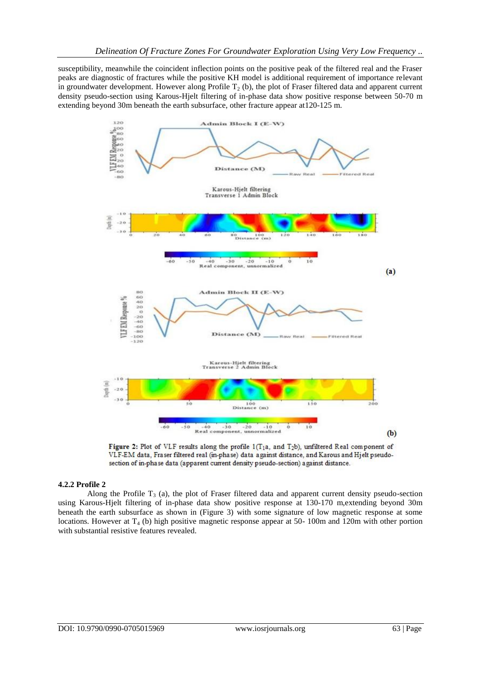susceptibility, meanwhile the coincident inflection points on the positive peak of the filtered real and the Fraser peaks are diagnostic of fractures while the positive KH model is additional requirement of importance relevant in groundwater development. However along Profile  $T_2$  (b), the plot of Fraser filtered data and apparent current density pseudo-section using Karous-Hjelt filtering of in-phase data show positive response between 50-70 m extending beyond 30m beneath the earth subsurface, other fracture appear at120-125 m.





#### **4.2.2 Profile 2**

Along the Profile  $T_3$  (a), the plot of Fraser filtered data and apparent current density pseudo-section using Karous-Hjelt filtering of in-phase data show positive response at 130-170 m,extending beyond 30m beneath the earth subsurface as shown in (Figure 3) with some signature of low magnetic response at some locations. However at  $T_4$  (b) high positive magnetic response appear at 50- 100m and 120m with other portion with substantial resistive features revealed.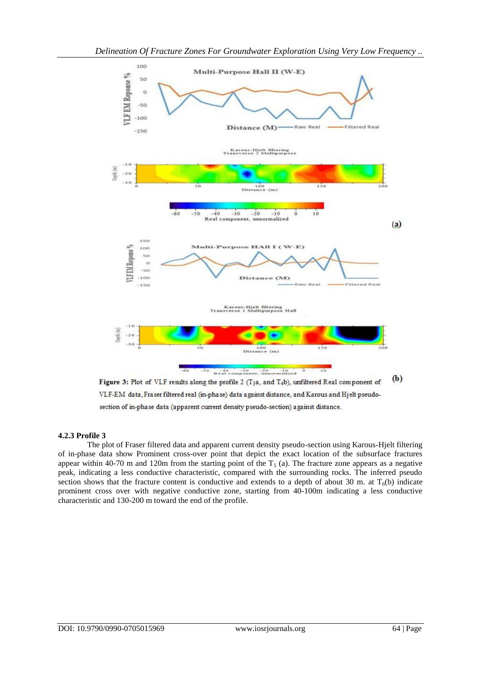

 $(b)$ Figure 3: Plot of VLF results along the profile 2 (T<sub>3</sub>a, and  $T_4$ b), unfiltered Real component of VLF-EM data, Fraser filtered real (in-phase) data against distance, and Karous and Hjelt pseudosection of in-phase data (apparent current density pseudo-section) against distance.

## **4.2.3 Profile 3**

The plot of Fraser filtered data and apparent current density pseudo-section using Karous-Hjelt filtering of in-phase data show Prominent cross-over point that depict the exact location of the subsurface fractures appear within 40-70 m and 120m from the starting point of the  $T_5$  (a). The fracture zone appears as a negative peak, indicating a less conductive characteristic, compared with the surrounding rocks. The inferred pseudo section shows that the fracture content is conductive and extends to a depth of about 30 m. at  $T_6(b)$  indicate prominent cross over with negative conductive zone, starting from 40-100m indicating a less conductive characteristic and 130-200 m toward the end of the profile.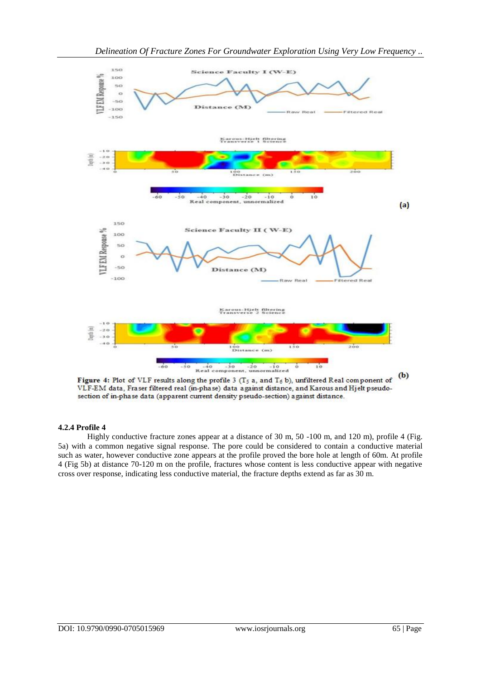

Figure 4: Plot of VLF results along the profile 3 (T<sub>5</sub> a, and  $T_6$  b), unfiltered Real component of VLF-EM data, Fraser filtered real (in-phase) data against distance, and Karous and Hjelt pseudosection of in-phase data (apparent current density pseudo-section) against distance.

# **4.2.4 Profile 4**

Highly conductive fracture zones appear at a distance of 30 m, 50 -100 m, and 120 m), profile 4 (Fig. 5a) with a common negative signal response. The pore could be considered to contain a conductive material such as water, however conductive zone appears at the profile proved the bore hole at length of 60m. At profile 4 (Fig 5b) at distance 70-120 m on the profile, fractures whose content is less conductive appear with negative cross over response, indicating less conductive material, the fracture depths extend as far as 30 m.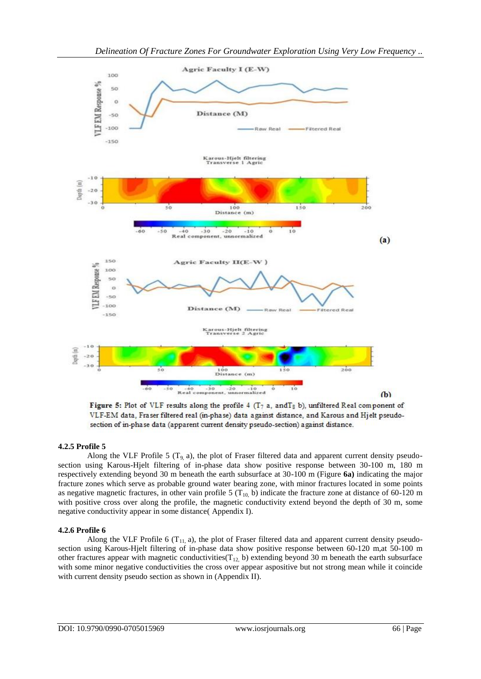



 $-20$ 

Real component, unnormalized

 $-10$ 

 $\circ$ 

10

 $-60$ 

 $-50$ 

 $40$ 

 $-30$ 

Figure 5: Plot of VLF results along the profile 4 ( $T_7$  a, and  $T_8$  b), unfiltered Real component of VLF-EM data, Fraser filtered real (in-phase) data against distance, and Karous and Hjelt pseudosection of in-phase data (apparent current density pseudo-section) against distance.

## **4.2.5 Profile 5**

Along the VLF Profile 5 ( $T<sub>9</sub>$  a), the plot of Fraser filtered data and apparent current density pseudosection using Karous-Hjelt filtering of in-phase data show positive response between 30-100 m, 180 m respectively extending beyond 30 m beneath the earth subsurface at 30-100 m (Figure **6a)** indicating the major fracture zones which serve as probable ground water bearing zone, with minor fractures located in some points as negative magnetic fractures, in other vain profile 5 ( $T_{10}$  b) indicate the fracture zone at distance of 60-120 m with positive cross over along the profile, the magnetic conductivity extend beyond the depth of 30 m, some negative conductivity appear in some distance( Appendix I).

## **4.2.6 Profile 6**

Along the VLF Profile 6 ( $T_{11}$ , a), the plot of Fraser filtered data and apparent current density pseudosection using Karous-Hjelt filtering of in-phase data show positive response between 60-120 m,at 50-100 m other fractures appear with magnetic conductivities( $T_{12}$ , b) extending beyond 30 m beneath the earth subsurface with some minor negative conductivities the cross over appear aspositive but not strong mean while it coincide with current density pseudo section as shown in (Appendix II).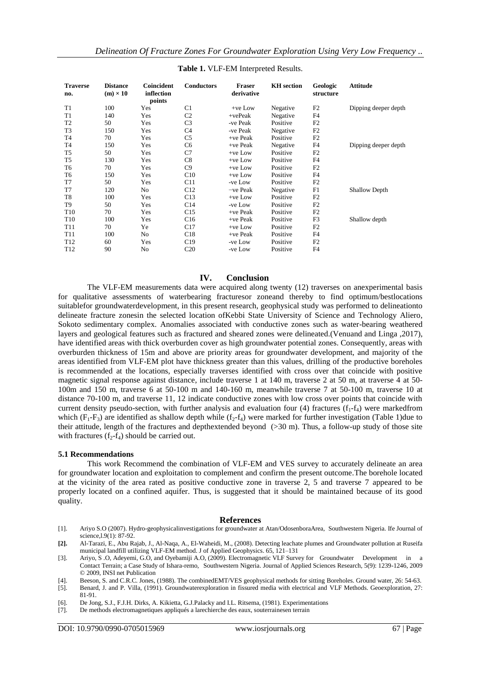| <b>Traverse</b><br>no. | <b>Distance</b><br>$(m) \times 10$ | Coincident<br>inflection<br>points | <b>Conductors</b> | <b>Fraser</b><br>derivative | <b>KH</b> section | Geologic<br>structure | <b>Attitude</b>      |
|------------------------|------------------------------------|------------------------------------|-------------------|-----------------------------|-------------------|-----------------------|----------------------|
| T <sub>1</sub>         | 100                                | Yes                                | C <sub>1</sub>    | $+ve$ Low                   | Negative          | F <sub>2</sub>        | Dipping deeper depth |
| T1                     | 140                                | Yes                                | C <sub>2</sub>    | $+vePeak$                   | Negative          | F4                    |                      |
| T <sub>2</sub>         | 50                                 | Yes                                | C <sub>3</sub>    | -ve Peak                    | Positive          | F2                    |                      |
| T <sub>3</sub>         | 150                                | Yes                                | C <sub>4</sub>    | -ve Peak                    | Negative          | F2                    |                      |
| T <sub>4</sub>         | 70                                 | Yes                                | C <sub>5</sub>    | $+ve$ Peak                  | Positive          | F2                    |                      |
| T <sub>4</sub>         | 150                                | Yes                                | C <sub>6</sub>    | $+ve$ Peak                  | Negative          | F4                    | Dipping deeper depth |
| T <sub>5</sub>         | 50                                 | Yes                                | C7                | $+ve$ Low                   | Positive          | F <sub>2</sub>        |                      |
| T <sub>5</sub>         | 130                                | Yes                                | C8                | $+ve$ Low                   | Positive          | F <sub>4</sub>        |                      |
| T <sub>6</sub>         | 70                                 | Yes                                | C9                | $+ve$ Low                   | Positive          | F2                    |                      |
| T <sub>6</sub>         | 150                                | Yes                                | C10               | $+ve$ Low                   | Positive          | F <sub>4</sub>        |                      |
| T7                     | 50                                 | Yes                                | C11               | -ve Low                     | Positive          | F <sub>2</sub>        |                      |
| T7                     | 120                                | N <sub>o</sub>                     | C12               | $-ve$ Peak                  | Negative          | F1                    | <b>Shallow Depth</b> |
| T <sub>8</sub>         | 100                                | Yes                                | C13               | $+ve$ Low                   | Positive          | F2                    |                      |
| T9                     | 50                                 | Yes                                | C14               | -ve Low                     | Positive          | F <sub>2</sub>        |                      |
| T <sub>10</sub>        | 70                                 | Yes                                | C15               | $+ve$ Peak                  | Positive          | F2                    |                      |
| T <sub>10</sub>        | 100                                | Yes                                | C16               | $+ve$ Peak                  | Positive          | F3                    | Shallow depth        |
| T <sub>11</sub>        | 70                                 | Ye                                 | C17               | $+ve$ Low                   | Positive          | F2                    |                      |
| T <sub>11</sub>        | 100                                | N <sub>o</sub>                     | C18               | $+ve$ Peak                  | Positive          | F <sub>4</sub>        |                      |
| T <sub>12</sub>        | 60                                 | Yes                                | C19               | -ve Low                     | Positive          | F <sub>2</sub>        |                      |
| T <sub>12</sub>        | 90                                 | N <sub>o</sub>                     | C <sub>20</sub>   | -ve Low                     | Positive          | F <sub>4</sub>        |                      |

## **Table 1.** VLF-EM Interpreted Results.

## **IV. Conclusion**

The VLF-EM measurements data were acquired along twenty (12) traverses on anexperimental basis for qualitative assessments of waterbearing fracturesor zoneand thereby to find optimum/bestlocations suitablefor groundwaterdevelopment, in this present research, geophysical study was performed to delineationto delineate fracture zonesin the selected location ofKebbi State University of Science and Technology Aliero, Sokoto sedimentary complex. Anomalies associated with conductive zones such as water-bearing weathered layers and geological features such as fractured and sheared zones were delineated.(Venuand and Linga ,2017), have identified areas with thick overburden cover as high groundwater potential zones. Consequently, areas with overburden thickness of 15m and above are priority areas for groundwater development, and majority of the areas identified from VLF-EM plot have thickness greater than this values, drilling of the productive boreholes is recommended at the locations, especially traverses identified with cross over that coincide with positive magnetic signal response against distance, include traverse 1 at 140 m, traverse 2 at 50 m, at traverse 4 at 50- 100m and 150 m, traverse 6 at 50-100 m and 140-160 m, meanwhile traverse 7 at 50-100 m, traverse 10 at distance 70-100 m, and traverse 11, 12 indicate conductive zones with low cross over points that coincide with current density pseudo-section, with further analysis and evaluation four (4) fractures  $(f_1-f_4)$  were markedfrom which  $(F_1-F_3)$  are identified as shallow depth while  $(f_2-f_4)$  were marked for further investigation (Table 1)due to their attitude, length of the fractures and depthextended beyond (>30 m). Thus, a follow-up study of those site with fractures  $(f_2-f_4)$  should be carried out.

#### **5.1 Recommendations**

This work Recommend the combination of VLF-EM and VES survey to accurately delineate an area for groundwater location and exploitation to complement and confirm the present outcome.The borehole located at the vicinity of the area rated as positive conductive zone in traverse 2, 5 and traverse 7 appeared to be properly located on a confined aquifer. Thus, is suggested that it should be maintained because of its good quality.

#### **References**

- [1]. Ariyo S.O (2007). Hydro-geophysicalinvestigations for groundwater at Atan/OdosenboraArea, Southwestern Nigeria. Ife Journal of science, 1.9(1): 87-92.
- **[2].** Al-Tarazi, E., Abu Rajab, J., Al-Naqa, A., El-Waheidi, M., (2008). Detecting leachate plumes and Groundwater pollution at Ruseifa municipal landfill utilizing VLF-EM method. J of Applied Geophysics. 65, 121–131
- [3]. Ariyo, S .O, Adeyemi, G.O, and Oyebamiji A.O, (2009). Electromagnetic VLF Survey for Groundwater Development in a Contact Terrain; a Case Study of Ishara-remo, Southwestern Nigeria. Journal of Applied Sciences Research, 5(9): 1239-1246, 2009 © 2009, INSI net Publication
- [4]. Beeson, S. and C.R.C. Jones, (1988). The combinedEMT/VES geophysical methods for sitting Boreholes. Ground water, 26: 54-63.
- [5]. Benard, J. and P. Villa, (1991). Groundwaterexploration in fissured media with electrical and VLF Methods. Geoexploration, 27: 81-91.
- [6]. De Jong, S.J., F.J.H. Dirks, A. Kikietta, G.J.Palacky and I.L. Ritsema, (1981). Experimentations
- [7]. De methods electromagnetiques appliqués a larechierche des eaux, souterrainesen terrain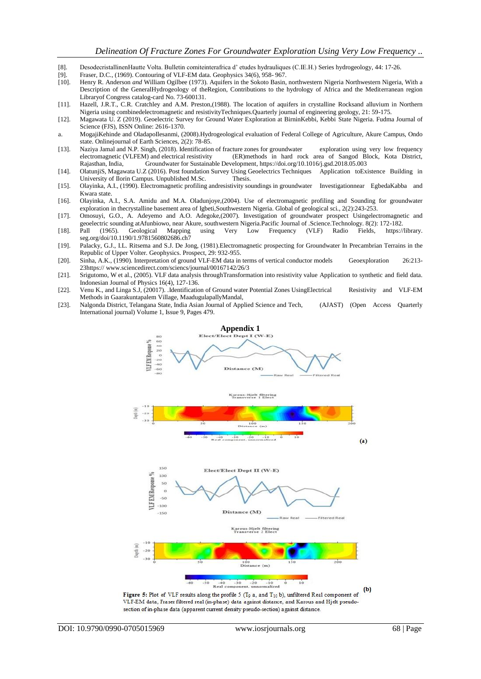- [8]. DesodecristallinenHautte Volta. Bulletin comiteinterafrica d' etudes hydrauliques (C.IE.H.) Series hydrogeology, 44: 17-26.<br>[9]. Fraser, D.C., (1969). Contouring of VLF-EM data. Geophysics 34(6), 958-967.
- Fraser, D.C., (1969). Contouring of VLF-EM data. Geophysics  $34(6)$ ,  $958-967$ .
- [10]. Henry R. Anderson *and* William Ogilbee (1973). Aquifers in the Sokoto Basin, northwestern Nigeria Northwestern Nigeria, With a Description of the GeneralHydrogeology of theRegion, Contributions to the hydrology of Africa and the Mediterranean region Libraryof Congress catalog-card No. 73-600131.
- [11]. Hazell, J.R.T., C.R. Cratchley and A.M. Preston,(1988). The location of aquifers in crystalline Rocksand alluvium in Northern Nigeria using combinedelectromagnetic and resistivityTechniques.Quarterly journal of engineering geology, 21: 59-175.
- [12]. Magawata U. Z (2019). Geoelectric Survey for Ground Water Exploration at BirninKebbi, Kebbi State Nigeria. Fudma Journal of Science (FJS), ISSN Online: 2616-1370.
- a. MogajiKehinde and OladapoIlesanmi, (2008).Hydrogeological evaluation of Federal College of Agriculture, Akure Campus, Ondo state. Onlinejournal of Earth Sciences, 2(2): 78-85.
- [13]. Naziya Jamal and N.P. Singh, (2018). Identification of fracture zones for groundwater exploration using very low frequency (ER)methods in hard rock area of Sangod Block, Kota District, Rajasthan, India, Groundwater for Sustainable Development, <https://doi.org/10.1016/j.gsd.2018.05.003><br>OlatunjiS, Magawata U.Z (2016). Post foundation Survey Using Geoelectrics Techniques Application toExistence Building in
- [14]. OlatunjiS, Magawata U.Z (2016). Post foundation Survey Using Geoelectrics Techniques University of Ilorin Campus. Unpublished M.Sc. Thesis.
- [15]. Olayinka, A.I., (1990). Electromagnetic profiling andresistivity soundings in groundwater Investigationnear EgbedaKabba and Kwara state.
- [16]. Olayinka, A.I., S.A. Amidu and M.A. Oladunjoye,(2004). Use of electromagnetic profiling and Sounding for groundwater exploration in thecrystalline basement area of Igbeti,Southwestern Nigeria. Global of geological sci., 2(2):243-253.
- [17]. Omosuyi, G.O., A. Adeyemo and A.O. Adegoke,(2007). Investigation of groundwater prospect Usingelectromagnetic and geoelectric sounding atAfunbiowo, near Akure, southwestern Nigeria.Pacific Journal of .Science.Technology. 8(2): 172-182.<br>Pall (1965). Geological Mapping using Very Low Frequency (VLF) Radio Fields, https://
- [18]. Pall (1965). Geological Mapping using Very Low Frequency (VLF) Radio Fields, [https://library.](https://library/) seg.org/doi/10.1190/1.9781560802686.ch7
- [19]. Palacky, G.J., I.L. Ritsema and S.J. De Jong, (1981).Electromagnetic prospecting for Groundwater In Precambrian Terrains in the Republic of Upper Volter. Geophysics. Prospect, 29: 932-955.
- [20]. Sinha, A.K., (1990)*.* Interpretation of ground VLF-EM data in terms of vertical conductor models Geoexploration 26:213- 2[3https:// www.sciencedirect.com/sciencs/journal/00167142/26/3](https://www.sciencedirect.com/sciencs/journal/00167142/26/3)
- [21]. Srigutomo, W et al., (2005). VLF data analysis throughTransformation into resistivity value Application to synthetic and field data. Indonesian Journal of Physics 16(4), 127-136.
- [22]. Venu K., and Linga S.J, (20017). .Identification of Ground water Potential Zones UsingElectrical Resistivity and VLF-EM Methods in Gaarakuntapalem Village, MaadugulapallyMandal,
- [23]. Nalgonda District, Telangana State, India Asian Journal of Applied Science and Tech, (AJAST) (Open Access Quarterly International journal) Volume 1, Issue 9, Pages 479.

**Appendix 1**